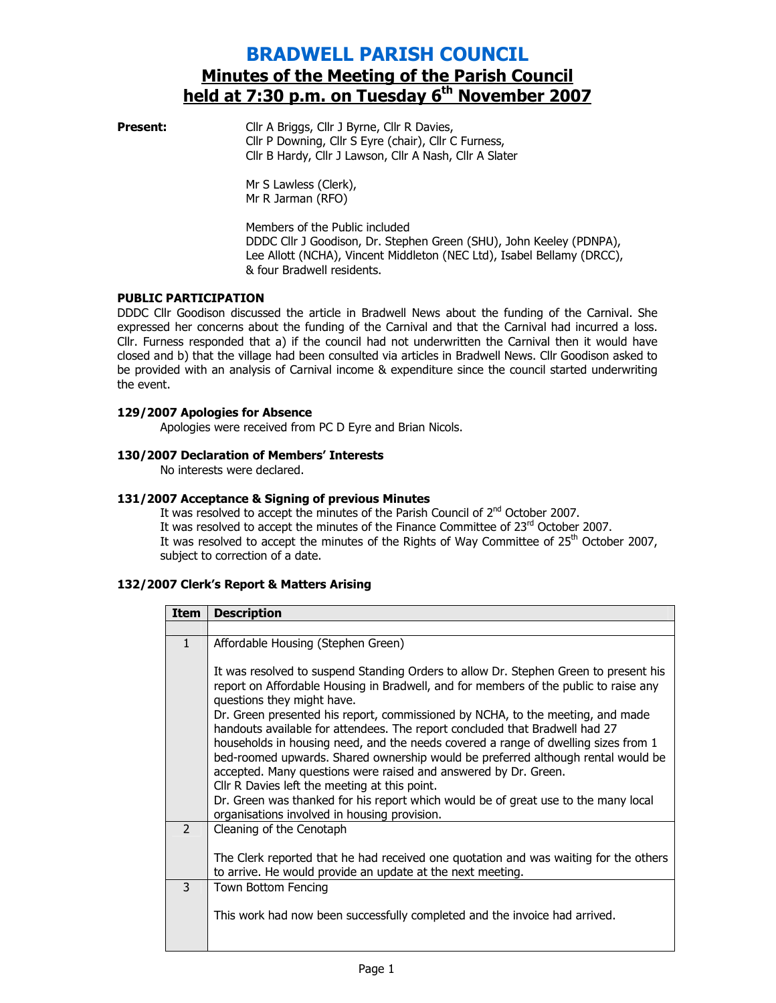# BRADWELL PARISH COUNCIL Minutes of the Meeting of the Parish Council held at 7:30 p.m. on Tuesday 6<sup>th</sup> November 2007

**Present:** Cllr A Briggs, Cllr J Byrne, Cllr R Davies, Cllr P Downing, Cllr S Eyre (chair), Cllr C Furness, Cllr B Hardy, Cllr J Lawson, Cllr A Nash, Cllr A Slater

> Mr S Lawless (Clerk), Mr R Jarman (RFO)

Members of the Public included DDDC Cllr J Goodison, Dr. Stephen Green (SHU), John Keeley (PDNPA), Lee Allott (NCHA), Vincent Middleton (NEC Ltd), Isabel Bellamy (DRCC), & four Bradwell residents.

# PUBLIC PARTICIPATION

DDDC Cllr Goodison discussed the article in Bradwell News about the funding of the Carnival. She expressed her concerns about the funding of the Carnival and that the Carnival had incurred a loss. Cllr. Furness responded that a) if the council had not underwritten the Carnival then it would have closed and b) that the village had been consulted via articles in Bradwell News. Cllr Goodison asked to be provided with an analysis of Carnival income & expenditure since the council started underwriting the event.

# 129/2007 Apologies for Absence

Apologies were received from PC D Eyre and Brian Nicols.

# 130/2007 Declaration of Members' Interests

No interests were declared.

# 131/2007 Acceptance & Signing of previous Minutes

It was resolved to accept the minutes of the Parish Council of 2<sup>nd</sup> October 2007. It was resolved to accept the minutes of the Finance Committee of 23rd October 2007. It was resolved to accept the minutes of the Rights of Way Committee of  $25<sup>th</sup>$  October 2007, subject to correction of a date.

# 132/2007 Clerk's Report & Matters Arising

| <b>Item</b>   | <b>Description</b>                                                                                                                                                                                                                                                                                                                                                                                                                                                                                                                                                                                                                                                                                                                                                                                              |
|---------------|-----------------------------------------------------------------------------------------------------------------------------------------------------------------------------------------------------------------------------------------------------------------------------------------------------------------------------------------------------------------------------------------------------------------------------------------------------------------------------------------------------------------------------------------------------------------------------------------------------------------------------------------------------------------------------------------------------------------------------------------------------------------------------------------------------------------|
|               |                                                                                                                                                                                                                                                                                                                                                                                                                                                                                                                                                                                                                                                                                                                                                                                                                 |
| $\mathbf{1}$  | Affordable Housing (Stephen Green)                                                                                                                                                                                                                                                                                                                                                                                                                                                                                                                                                                                                                                                                                                                                                                              |
|               | It was resolved to suspend Standing Orders to allow Dr. Stephen Green to present his<br>report on Affordable Housing in Bradwell, and for members of the public to raise any<br>questions they might have.<br>Dr. Green presented his report, commissioned by NCHA, to the meeting, and made<br>handouts available for attendees. The report concluded that Bradwell had 27<br>households in housing need, and the needs covered a range of dwelling sizes from 1<br>bed-roomed upwards. Shared ownership would be preferred although rental would be<br>accepted. Many questions were raised and answered by Dr. Green.<br>Cllr R Davies left the meeting at this point.<br>Dr. Green was thanked for his report which would be of great use to the many local<br>organisations involved in housing provision. |
| $\mathcal{P}$ | Cleaning of the Cenotaph                                                                                                                                                                                                                                                                                                                                                                                                                                                                                                                                                                                                                                                                                                                                                                                        |
|               | The Clerk reported that he had received one quotation and was waiting for the others<br>to arrive. He would provide an update at the next meeting.                                                                                                                                                                                                                                                                                                                                                                                                                                                                                                                                                                                                                                                              |
| 3             | Town Bottom Fencing                                                                                                                                                                                                                                                                                                                                                                                                                                                                                                                                                                                                                                                                                                                                                                                             |
|               | This work had now been successfully completed and the invoice had arrived.                                                                                                                                                                                                                                                                                                                                                                                                                                                                                                                                                                                                                                                                                                                                      |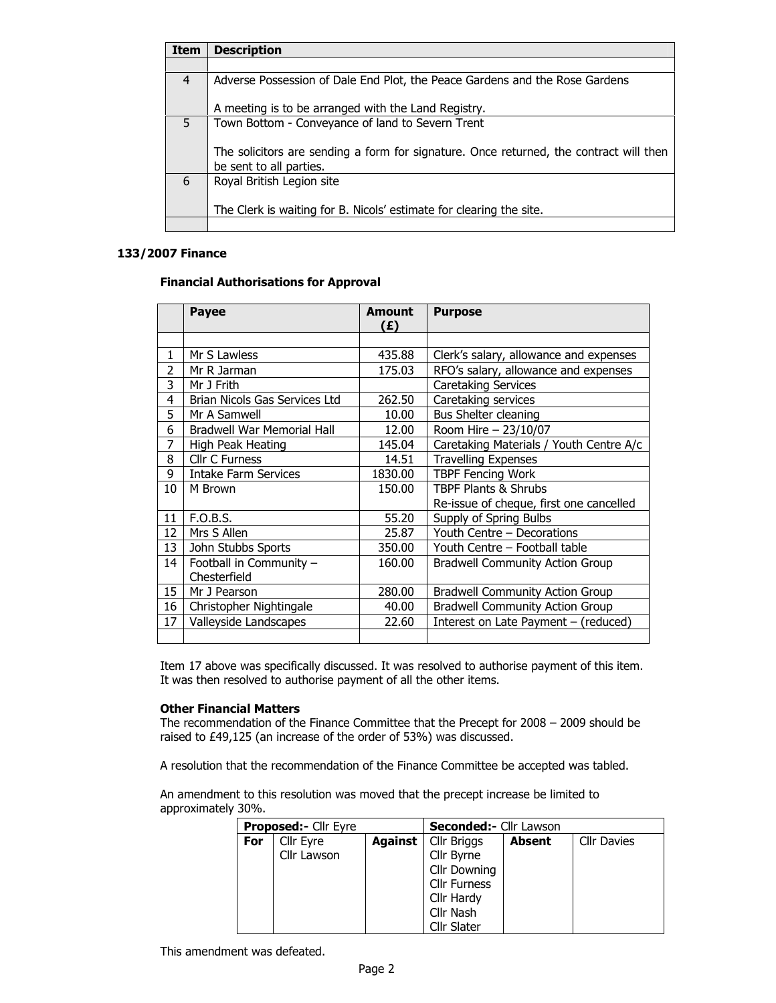| <b>Item</b> | <b>Description</b>                                                                                                |
|-------------|-------------------------------------------------------------------------------------------------------------------|
|             |                                                                                                                   |
| 4           | Adverse Possession of Dale End Plot, the Peace Gardens and the Rose Gardens                                       |
|             | A meeting is to be arranged with the Land Registry.                                                               |
| 5           | Town Bottom - Conveyance of land to Severn Trent                                                                  |
|             | The solicitors are sending a form for signature. Once returned, the contract will then<br>be sent to all parties. |
| 6           | Royal British Legion site                                                                                         |
|             | The Clerk is waiting for B. Nicols' estimate for clearing the site.                                               |
|             |                                                                                                                   |

### 133/2007 Finance

# Financial Authorisations for Approval

|    | <b>Payee</b>                      | <b>Amount</b><br>(£) | <b>Purpose</b>                          |
|----|-----------------------------------|----------------------|-----------------------------------------|
|    |                                   |                      |                                         |
| 1  | Mr S Lawless                      | 435.88               | Clerk's salary, allowance and expenses  |
| 2  | Mr R Jarman                       | 175.03               | RFO's salary, allowance and expenses    |
| 3  | Mr J Frith                        |                      | Caretaking Services                     |
| 4  | Brian Nicols Gas Services Ltd     | 262.50               | Caretaking services                     |
| 5  | Mr A Samwell                      | 10.00                | Bus Shelter cleaning                    |
| 6  | <b>Bradwell War Memorial Hall</b> | 12.00                | Room Hire - 23/10/07                    |
| 7  | High Peak Heating                 | 145.04               | Caretaking Materials / Youth Centre A/c |
| 8  | <b>Cllr C Furness</b>             | 14.51                | <b>Travelling Expenses</b>              |
| 9  | Intake Farm Services              | 1830.00              | <b>TBPF Fencing Work</b>                |
| 10 | M Brown                           | 150.00               | <b>TBPF Plants &amp; Shrubs</b>         |
|    |                                   |                      | Re-issue of cheque, first one cancelled |
| 11 | F.O.B.S.                          | 55.20                | Supply of Spring Bulbs                  |
| 12 | Mrs S Allen                       | 25.87                | Youth Centre - Decorations              |
| 13 | John Stubbs Sports                | 350.00               | Youth Centre - Football table           |
| 14 | Football in Community -           | 160.00               | <b>Bradwell Community Action Group</b>  |
|    | Chesterfield                      |                      |                                         |
| 15 | Mr J Pearson                      | 280.00               | <b>Bradwell Community Action Group</b>  |
| 16 | Christopher Nightingale           | 40.00                | <b>Bradwell Community Action Group</b>  |
| 17 | Valleyside Landscapes             | 22.60                | Interest on Late Payment - (reduced)    |
|    |                                   |                      |                                         |

Item 17 above was specifically discussed. It was resolved to authorise payment of this item. It was then resolved to authorise payment of all the other items.

### Other Financial Matters

The recommendation of the Finance Committee that the Precept for 2008 – 2009 should be raised to £49,125 (an increase of the order of 53%) was discussed.

A resolution that the recommendation of the Finance Committee be accepted was tabled.

An amendment to this resolution was moved that the precept increase be limited to approximately 30%.

|     | Proposed:- Cllr Eyre |         | <b>Seconded:- Cllr Lawson</b> |        |                    |
|-----|----------------------|---------|-------------------------------|--------|--------------------|
| For | Cllr Eyre            | Against | Cllr Briggs                   | Absent | <b>Cllr Davies</b> |
|     | Cllr Lawson          |         | Cllr Byrne                    |        |                    |
|     |                      |         | <b>Cllr Downing</b>           |        |                    |
|     |                      |         | <b>Cllr Furness</b>           |        |                    |
|     |                      |         | Cllr Hardy                    |        |                    |
|     |                      |         | Cllr Nash                     |        |                    |
|     |                      |         | <b>Cllr Slater</b>            |        |                    |

This amendment was defeated.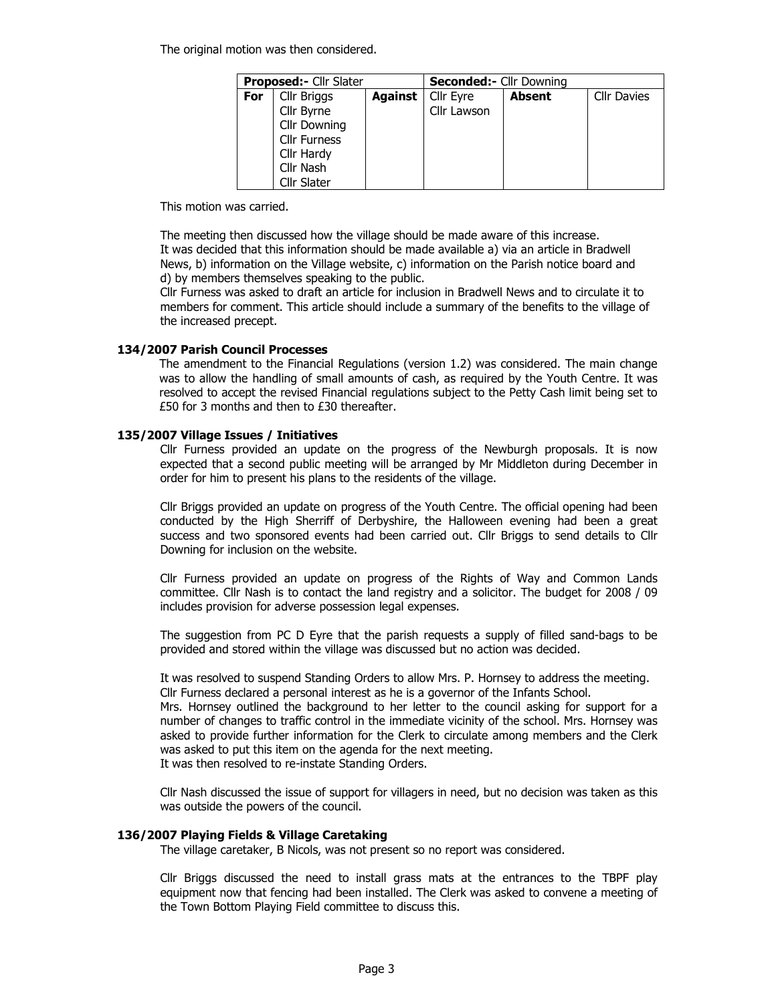The original motion was then considered.

|     | <b>Proposed:- Cllr Slater</b> |         | <b>Seconded:- Cllr Downing</b> |               |                    |
|-----|-------------------------------|---------|--------------------------------|---------------|--------------------|
| For | Cllr Briggs                   | Against | Cllr Eyre                      | <b>Absent</b> | <b>Cllr Davies</b> |
|     | Cllr Byrne                    |         | Cllr Lawson                    |               |                    |
|     | Cllr Downing                  |         |                                |               |                    |
|     | <b>Cllr Furness</b>           |         |                                |               |                    |
|     | Cllr Hardy                    |         |                                |               |                    |
|     | Cllr Nash                     |         |                                |               |                    |
|     | <b>Cllr Slater</b>            |         |                                |               |                    |

This motion was carried.

The meeting then discussed how the village should be made aware of this increase. It was decided that this information should be made available a) via an article in Bradwell News, b) information on the Village website, c) information on the Parish notice board and d) by members themselves speaking to the public.

Cllr Furness was asked to draft an article for inclusion in Bradwell News and to circulate it to members for comment. This article should include a summary of the benefits to the village of the increased precept.

### 134/2007 Parish Council Processes

The amendment to the Financial Regulations (version 1.2) was considered. The main change was to allow the handling of small amounts of cash, as required by the Youth Centre. It was resolved to accept the revised Financial regulations subject to the Petty Cash limit being set to £50 for 3 months and then to £30 thereafter.

#### 135/2007 Village Issues / Initiatives

Cllr Furness provided an update on the progress of the Newburgh proposals. It is now expected that a second public meeting will be arranged by Mr Middleton during December in order for him to present his plans to the residents of the village.

Cllr Briggs provided an update on progress of the Youth Centre. The official opening had been conducted by the High Sherriff of Derbyshire, the Halloween evening had been a great success and two sponsored events had been carried out. Cllr Briggs to send details to Cllr Downing for inclusion on the website.

Cllr Furness provided an update on progress of the Rights of Way and Common Lands committee. Cllr Nash is to contact the land registry and a solicitor. The budget for 2008 / 09 includes provision for adverse possession legal expenses.

The suggestion from PC D Eyre that the parish requests a supply of filled sand-bags to be provided and stored within the village was discussed but no action was decided.

It was resolved to suspend Standing Orders to allow Mrs. P. Hornsey to address the meeting. Cllr Furness declared a personal interest as he is a governor of the Infants School.

Mrs. Hornsey outlined the background to her letter to the council asking for support for a number of changes to traffic control in the immediate vicinity of the school. Mrs. Hornsey was asked to provide further information for the Clerk to circulate among members and the Clerk was asked to put this item on the agenda for the next meeting.

It was then resolved to re-instate Standing Orders.

Cllr Nash discussed the issue of support for villagers in need, but no decision was taken as this was outside the powers of the council.

### 136/2007 Playing Fields & Village Caretaking

The village caretaker, B Nicols, was not present so no report was considered.

Cllr Briggs discussed the need to install grass mats at the entrances to the TBPF play equipment now that fencing had been installed. The Clerk was asked to convene a meeting of the Town Bottom Playing Field committee to discuss this.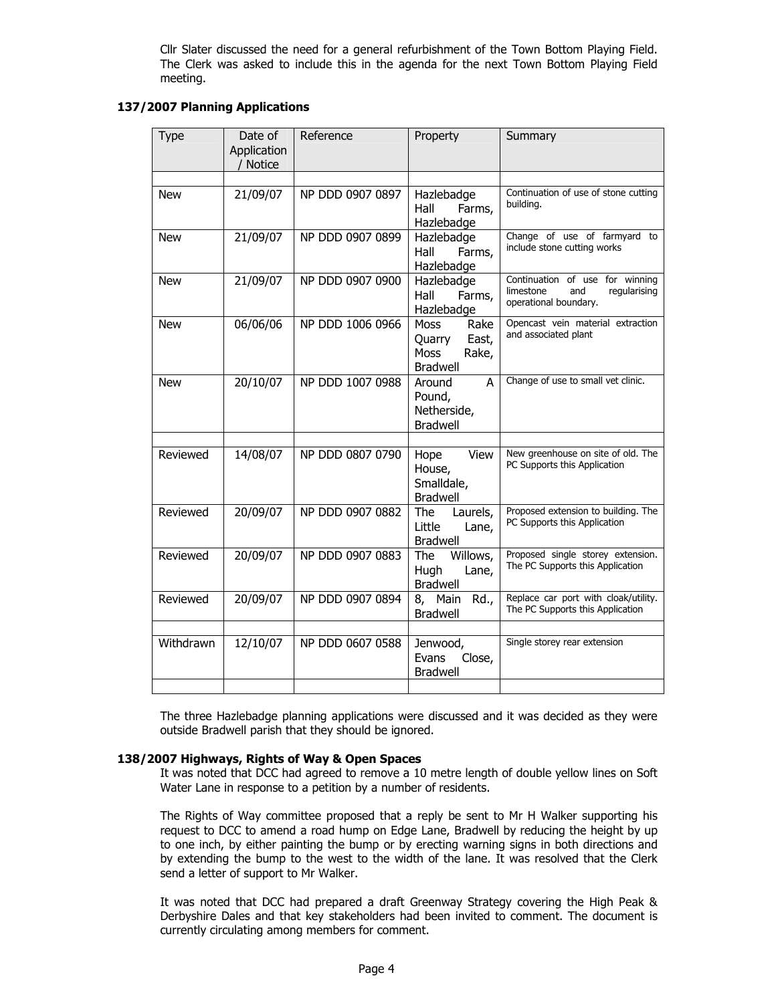Cllr Slater discussed the need for a general refurbishment of the Town Bottom Playing Field. The Clerk was asked to include this in the agenda for the next Town Bottom Playing Field meeting.

### 137/2007 Planning Applications

| <b>Type</b> | Date of<br>Application<br>/ Notice | Reference        | Property                                                            | Summary                                                                                      |
|-------------|------------------------------------|------------------|---------------------------------------------------------------------|----------------------------------------------------------------------------------------------|
|             |                                    |                  |                                                                     |                                                                                              |
| <b>New</b>  | 21/09/07                           | NP DDD 0907 0897 | Hazlebadge<br>Hall<br>Farms,<br>Hazlebadge                          | Continuation of use of stone cutting<br>building.                                            |
| <b>New</b>  | 21/09/07                           | NP DDD 0907 0899 | Hazlebadge<br>Hall<br>Farms,<br>Hazlebadge                          | Change of use of farmyard to<br>include stone cutting works                                  |
| <b>New</b>  | 21/09/07                           | NP DDD 0907 0900 | Hazlebadge<br>Hall<br>Farms,<br>Hazlebadge                          | Continuation of use for winning<br>limestone<br>regularising<br>and<br>operational boundary. |
| <b>New</b>  | 06/06/06                           | NP DDD 1006 0966 | Moss<br>Rake<br>East,<br>Quarry<br>Moss<br>Rake,<br><b>Bradwell</b> | Opencast vein material extraction<br>and associated plant                                    |
| <b>New</b>  | 20/10/07                           | NP DDD 1007 0988 | Around<br>A<br>Pound,<br>Netherside,<br><b>Bradwell</b>             | Change of use to small vet clinic.                                                           |
|             |                                    |                  |                                                                     |                                                                                              |
| Reviewed    | 14/08/07                           | NP DDD 0807 0790 | View<br>Hope<br>House,<br>Smalldale,<br><b>Bradwell</b>             | New greenhouse on site of old. The<br>PC Supports this Application                           |
| Reviewed    | 20/09/07                           | NP DDD 0907 0882 | Laurels,<br><b>The</b><br>Little<br>Lane,<br><b>Bradwell</b>        | Proposed extension to building. The<br>PC Supports this Application                          |
| Reviewed    | 20/09/07                           | NP DDD 0907 0883 | The<br>Willows,<br>Hugh<br>Lane,<br><b>Bradwell</b>                 | Proposed single storey extension.<br>The PC Supports this Application                        |
| Reviewed    | 20/09/07                           | NP DDD 0907 0894 | 8, Main<br>Rd.,<br><b>Bradwell</b>                                  | Replace car port with cloak/utility.<br>The PC Supports this Application                     |
|             |                                    |                  |                                                                     |                                                                                              |
| Withdrawn   | 12/10/07                           | NP DDD 0607 0588 | Jenwood,<br>Evans<br>Close,<br><b>Bradwell</b>                      | Single storey rear extension                                                                 |
|             |                                    |                  |                                                                     |                                                                                              |

The three Hazlebadge planning applications were discussed and it was decided as they were outside Bradwell parish that they should be ignored.

### 138/2007 Highways, Rights of Way & Open Spaces

It was noted that DCC had agreed to remove a 10 metre length of double yellow lines on Soft Water Lane in response to a petition by a number of residents.

The Rights of Way committee proposed that a reply be sent to Mr H Walker supporting his request to DCC to amend a road hump on Edge Lane, Bradwell by reducing the height by up to one inch, by either painting the bump or by erecting warning signs in both directions and by extending the bump to the west to the width of the lane. It was resolved that the Clerk send a letter of support to Mr Walker.

It was noted that DCC had prepared a draft Greenway Strategy covering the High Peak & Derbyshire Dales and that key stakeholders had been invited to comment. The document is currently circulating among members for comment.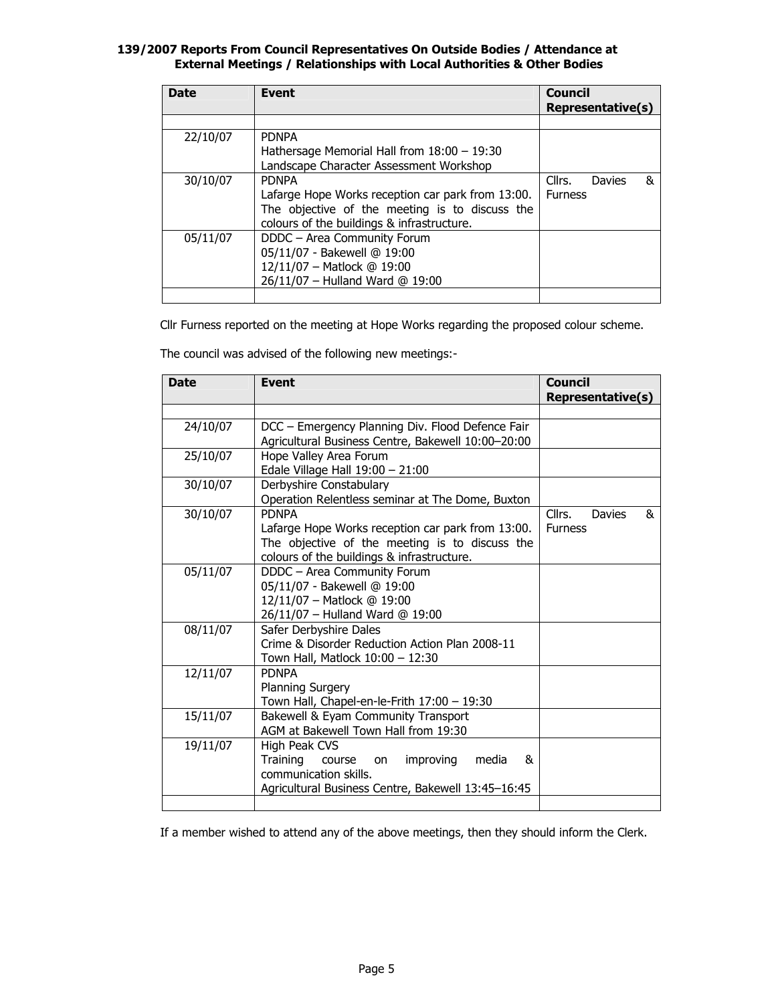### 139/2007 Reports From Council Representatives On Outside Bodies / Attendance at External Meetings / Relationships with Local Authorities & Other Bodies

| <b>Date</b> | <b>Event</b>                                                                                                                                                      | <b>Council</b><br>Representative(s)            |
|-------------|-------------------------------------------------------------------------------------------------------------------------------------------------------------------|------------------------------------------------|
|             |                                                                                                                                                                   |                                                |
| 22/10/07    | <b>PDNPA</b><br>Hathersage Memorial Hall from 18:00 - 19:30<br>Landscape Character Assessment Workshop                                                            |                                                |
| 30/10/07    | <b>PDNPA</b><br>Lafarge Hope Works reception car park from 13:00.<br>The objective of the meeting is to discuss the<br>colours of the buildings & infrastructure. | Cllrs.<br><b>Davies</b><br>&<br><b>Furness</b> |
| 05/11/07    | DDDC - Area Community Forum<br>05/11/07 - Bakewell @ 19:00<br>12/11/07 - Matlock @ 19:00<br>26/11/07 - Hulland Ward @ 19:00                                       |                                                |
|             |                                                                                                                                                                   |                                                |

Cllr Furness reported on the meeting at Hope Works regarding the proposed colour scheme.

The council was advised of the following new meetings:-

| <b>Date</b> | <b>Event</b>                                                                                                                                                      | <b>Council</b><br><b>Representative(s)</b>     |
|-------------|-------------------------------------------------------------------------------------------------------------------------------------------------------------------|------------------------------------------------|
|             |                                                                                                                                                                   |                                                |
| 24/10/07    | DCC – Emergency Planning Div. Flood Defence Fair<br>Agricultural Business Centre, Bakewell 10:00-20:00                                                            |                                                |
| 25/10/07    | Hope Valley Area Forum<br>Edale Village Hall 19:00 - 21:00                                                                                                        |                                                |
| 30/10/07    | Derbyshire Constabulary<br>Operation Relentless seminar at The Dome, Buxton                                                                                       |                                                |
| 30/10/07    | <b>PDNPA</b><br>Lafarge Hope Works reception car park from 13:00.<br>The objective of the meeting is to discuss the<br>colours of the buildings & infrastructure. | Cllrs.<br>&<br><b>Davies</b><br><b>Furness</b> |
| 05/11/07    | DDDC - Area Community Forum<br>05/11/07 - Bakewell @ 19:00<br>12/11/07 - Matlock @ 19:00<br>26/11/07 - Hulland Ward @ 19:00                                       |                                                |
| 08/11/07    | Safer Derbyshire Dales<br>Crime & Disorder Reduction Action Plan 2008-11<br>Town Hall, Matlock 10:00 - 12:30                                                      |                                                |
| 12/11/07    | <b>PDNPA</b><br><b>Planning Surgery</b><br>Town Hall, Chapel-en-le-Frith 17:00 - 19:30                                                                            |                                                |
| 15/11/07    | Bakewell & Eyam Community Transport<br>AGM at Bakewell Town Hall from 19:30                                                                                       |                                                |
| 19/11/07    | High Peak CVS<br><b>Training</b><br>&<br>improving<br>media<br>course<br>on<br>communication skills.<br>Agricultural Business Centre, Bakewell 13:45-16:45        |                                                |
|             |                                                                                                                                                                   |                                                |

If a member wished to attend any of the above meetings, then they should inform the Clerk.